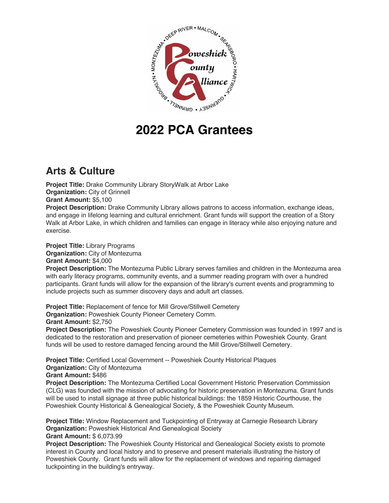

# **2022 PCA Grantees**

## **Arts & Culture**

**Project Title:** Drake Community Library StoryWalk at Arbor Lake **Organization: City of Grinnell Grant Amount:** \$5,100

**Project Description:** Drake Community Library allows patrons to access information, exchange ideas, and engage in lifelong learning and cultural enrichment. Grant funds will support the creation of a Story Walk at Arbor Lake, in which children and families can engage in literacy while also enjoying nature and exercise.

**Project Title:** Library Programs **Organization:** City of Montezuma **Grant Amount:** \$4,000

**Project Description:** The Montezuma Public Library serves families and children in the Montezuma area with early literacy programs, community events, and a summer reading program with over a hundred participants. Grant funds will allow for the expansion of the library's current events and programming to include projects such as summer discovery days and adult art classes.

**Project Title:** Replacement of fence for Mill Grove/Stillwell Cemetery **Organization:** Poweshiek County Pioneer Cemetery Comm. **Grant Amount:** \$2,750

**Project Description:** The Poweshiek County Pioneer Cemetery Commission was founded in 1997 and is dedicated to the restoration and preservation of pioneer cemeteries within Poweshiek County. Grant funds will be used to restore damaged fencing around the Mill Grove/Stillwell Cemetery.

**Project Title:** Certified Local Government -- Poweshiek County Historical Plaques **Organization:** City of Montezuma **Grant Amount:** \$486

**Project Description:** The Montezuma Certified Local Government Historic Preservation Commission (CLG) was founded with the mission of advocating for historic preservation in Montezuma. Grant funds will be used to install signage at three public historical buildings: the 1859 Historic Courthouse, the Poweshiek County Historical & Genealogical Society, & the Poweshiek County Museum.

**Project Title:** Window Replacement and Tuckpointing of Entryway at Carnegie Research Library **Organization: Poweshiek Historical And Genealogical Society Grant Amount:** \$ 6,073.99

**Project Description:** The Poweshiek County Historical and Genealogical Society exists to promote interest in County and local history and to preserve and present materials illustrating the history of Poweshiek County. Grant funds will allow for the replacement of windows and repairing damaged tuckpointing in the building's entryway.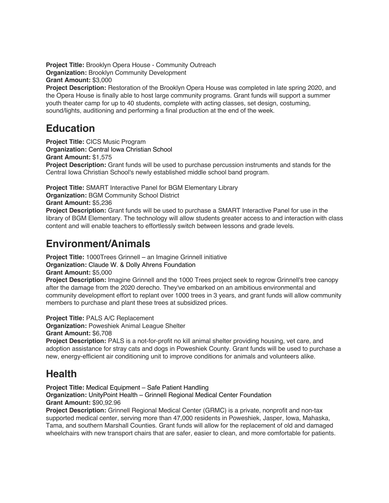**Project Title:** Brooklyn Opera House - Community Outreach **Organization:** Brooklyn Community Development **Grant Amount:** \$3,000

**Project Description:** Restoration of the Brooklyn Opera House was completed in late spring 2020, and the Opera House is finally able to host large community programs. Grant funds will support a summer youth theater camp for up to 40 students, complete with acting classes, set design, costuming, sound/lights, auditioning and performing a final production at the end of the week.

## **Education**

**Project Title:** CICS Music Program **Organization:** Central Iowa Christian School **Grant Amount:** \$1,575 **Project Description:** Grant funds will be used to purchase percussion instruments and stands for the Central Iowa Christian School's newly established middle school band program.

**Project Title:** SMART Interactive Panel for BGM Elementary Library **Organization:** BGM Community School District

**Grant Amount:** \$5,236

**Project Description:** Grant funds will be used to purchase a SMART Interactive Panel for use in the library of BGM Elementary. The technology will allow students greater access to and interaction with class content and will enable teachers to effortlessly switch between lessons and grade levels.

# **Environment/Animals**

**Project Title: 1000Trees Grinnell – an Imagine Grinnell initiative Organization:** Claude W. & Dolly Ahrens Foundation

**Grant Amount:** \$5,000

**Project Description:** Imagine Grinnell and the 1000 Trees project seek to regrow Grinnell's tree canopy after the damage from the 2020 derecho. They've embarked on an ambitious environmental and community development effort to replant over 1000 trees in 3 years, and grant funds will allow community members to purchase and plant these trees at subsidized prices.

**Project Title:** PALS A/C Replacement

**Organization:** Poweshiek Animal League Shelter

**Grant Amount:** \$6,708

**Project Description:** PALS is a not-for-profit no kill animal shelter providing housing, vet care, and adoption assistance for stray cats and dogs in Poweshiek County. Grant funds will be used to purchase a new, energy-efficient air conditioning unit to improve conditions for animals and volunteers alike.

# **Health**

**Project Title:** Medical Equipment – Safe Patient Handling

**Organization:** UnityPoint Health – Grinnell Regional Medical Center Foundation **Grant Amount:** \$90,92.96

**Project Description:** Grinnell Regional Medical Center (GRMC) is a private, nonprofit and non-tax supported medical center, serving more than 47,000 residents in Poweshiek, Jasper, Iowa, Mahaska, Tama, and southern Marshall Counties. Grant funds will allow for the replacement of old and damaged wheelchairs with new transport chairs that are safer, easier to clean, and more comfortable for patients.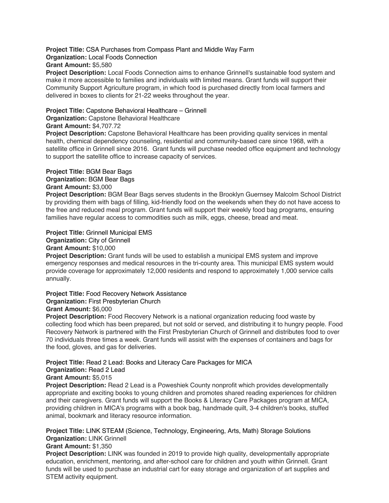**Project Title:** CSA Purchases from Compass Plant and Middle Way Farm **Organization:** Local Foods Connection **Grant Amount:** \$5,580

**Project Description:** Local Foods Connection aims to enhance Grinnell's sustainable food system and make it more accessible to families and individuals with limited means. Grant funds will support their Community Support Agriculture program, in which food is purchased directly from local farmers and delivered in boxes to clients for 21-22 weeks throughout the year.

#### **Project Title:** Capstone Behavioral Healthcare – Grinnell

### **Organization:** Capstone Behavioral Healthcare

#### **Grant Amount:** \$4,707.72

**Project Description:** Capstone Behavioral Healthcare has been providing quality services in mental health, chemical dependency counseling, residential and community-based care since 1968, with a satellite office in Grinnell since 2016. Grant funds will purchase needed office equipment and technology to support the satellite office to increase capacity of services.

## **Project Title:** BGM Bear Bags

## **Organization:** BGM Bear Bags

## **Grant Amount:** \$3,000

**Project Description:** BGM Bear Bags serves students in the Brooklyn Guernsey Malcolm School District by providing them with bags of filling, kid-friendly food on the weekends when they do not have access to the free and reduced meal program. Grant funds will support their weekly food bag programs, ensuring families have regular access to commodities such as milk, eggs, cheese, bread and meat.

## **Project Title:** Grinnell Municipal EMS

## **Organization:** City of Grinnell

## **Grant Amount:** \$10,000

**Project Description:** Grant funds will be used to establish a municipal EMS system and improve emergency responses and medical resources in the tri-county area. This municipal EMS system would provide coverage for approximately 12,000 residents and respond to approximately 1,000 service calls annually.

## **Project Title:** Food Recovery Network Assistance

## **Organization:** First Presbyterian Church

## **Grant Amount:** \$6,000

**Project Description:** Food Recovery Network is a national organization reducing food waste by collecting food which has been prepared, but not sold or served, and distributing it to hungry people. Food Recovery Network is partnered with the First Presbyterian Church of Grinnell and distributes food to over 70 individuals three times a week. Grant funds will assist with the expenses of containers and bags for the food, gloves, and gas for deliveries.

## **Project Title:** Read 2 Lead: Books and Literacy Care Packages for MICA

#### **Organization:** Read 2 Lead

## **Grant Amount:** \$5,015

**Project Description:** Read 2 Lead is a Poweshiek County nonprofit which provides developmentally appropriate and exciting books to young children and promotes shared reading experiences for children and their caregivers. Grant funds will support the Books & Literacy Care Packages program at MICA, providing children in MICA's programs with a book bag, handmade quilt, 3-4 children's books, stuffed animal, bookmark and literacy resource information.

**Project Title:** LINK STEAM (Science, Technology, Engineering, Arts, Math) Storage Solutions **Organization: LINK Grinnell** 

## **Grant Amount:** \$1,350

**Project Description:** LINK was founded in 2019 to provide high quality, developmentally appropriate education, enrichment, mentoring, and after-school care for children and youth within Grinnell. Grant funds will be used to purchase an industrial cart for easy storage and organization of art supplies and STEM activity equipment.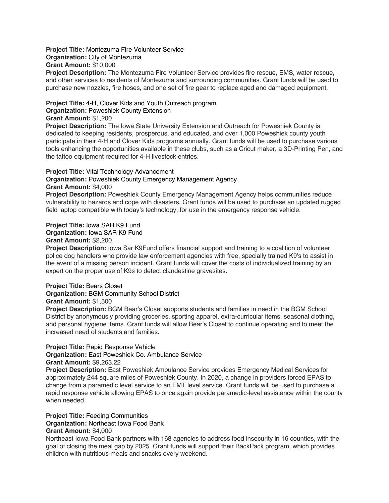#### **Project Title:** Montezuma Fire Volunteer Service **Organization:** City of Montezuma **Grant Amount:** \$10,000

**Project Description:** The Montezuma Fire Volunteer Service provides fire rescue, EMS, water rescue, and other services to residents of Montezuma and surrounding communities. Grant funds will be used to purchase new nozzles, fire hoses, and one set of fire gear to replace aged and damaged equipment.

## **Project Title:** 4-H, Clover Kids and Youth Outreach program

#### **Organization:** Poweshiek County Extension

## **Grant Amount:** \$1,200

**Project Description:** The Iowa State University Extension and Outreach for Poweshiek County is dedicated to keeping residents, prosperous, and educated, and over 1,000 Poweshiek county youth participate in their 4-H and Clover Kids programs annually. Grant funds will be used to purchase various tools enhancing the opportunities available in these clubs, such as a Cricut maker, a 3D-Printing Pen, and the tattoo equipment required for 4-H livestock entries.

## **Project Title:** Vital Technology Advancement

#### **Organization:** Poweshiek County Emergency Management Agency **Grant Amount:** \$4,000

**Project Description:** Poweshiek County Emergency Management Agency helps communities reduce vulnerability to hazards and cope with disasters. Grant funds will be used to purchase an updated rugged field laptop compatible with today's technology, for use in the emergency response vehicle.

## **Project Title:** Iowa SAR K9 Fund

**Organization:** Iowa SAR K9 Fund

#### **Grant Amount:** \$2,200

**Project Description:** Iowa Sar K9Fund offers financial support and training to a coalition of volunteer police dog handlers who provide law enforcement agencies with free, specially trained K9's to assist in the event of a missing person incident. Grant funds will cover the costs of individualized training by an expert on the proper use of K9s to detect clandestine gravesites.

## **Project Title:** Bears Closet

**Organization:** BGM Community School District

## **Grant Amount:** \$1,500

**Project Description:** BGM Bear's Closet supports students and families in need in the BGM School District by anonymously providing groceries, sporting apparel, extra-curricular items, seasonal clothing, and personal hygiene items. Grant funds will allow Bear's Closet to continue operating and to meet the increased need of students and families.

## **Project Title:** Rapid Response Vehicle

**Organization:** East Poweshiek Co. Ambulance Service

#### **Grant Amount:** \$9,263.22

**Project Description:** East Poweshiek Ambulance Service provides Emergency Medical Services for approximately 244 square miles of Poweshiek County. In 2020, a change in providers forced EPAS to change from a paramedic level service to an EMT level service. Grant funds will be used to purchase a rapid response vehicle allowing EPAS to once again provide paramedic-level assistance within the county when needed.

## **Project Title:** Feeding Communities

## **Organization:** Northeast Iowa Food Bank

## **Grant Amount:** \$4,000

Northeast Iowa Food Bank partners with 168 agencies to address food insecurity in 16 counties, with the goal of closing the meal gap by 2025. Grant funds will support their BackPack program, which provides children with nutritious meals and snacks every weekend.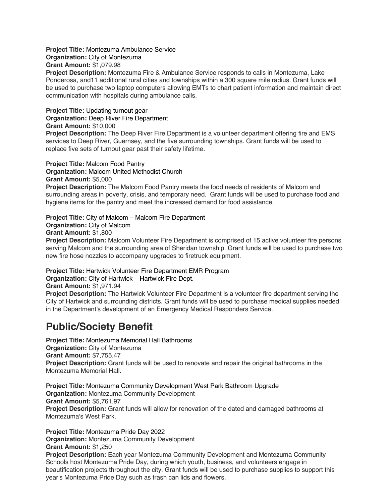**Project Title:** Montezuma Ambulance Service **Organization:** City of Montezuma **Grant Amount:** \$1,079.98

**Project Description:** Montezuma Fire & Ambulance Service responds to calls in Montezuma, Lake Ponderosa, and11 additional rural cities and townships within a 300 square mile radius. Grant funds will be used to purchase two laptop computers allowing EMTs to chart patient information and maintain direct communication with hospitals during ambulance calls.

#### **Project Title:** Updating turnout gear **Organization:** Deep River Fire Department **Grant Amount:** \$10,000

**Project Description:** The Deep River Fire Department is a volunteer department offering fire and EMS services to Deep River, Guernsey, and the five surrounding townships. Grant funds will be used to replace five sets of turnout gear past their safety lifetime.

## **Project Title:** Malcom Food Pantry

**Organization:** Malcom United Methodist Church

**Grant Amount:** \$5,000

**Project Description:** The Malcom Food Pantry meets the food needs of residents of Malcom and surrounding areas in poverty, crisis, and temporary need. Grant funds will be used to purchase food and hygiene items for the pantry and meet the increased demand for food assistance.

**Project Title:** City of Malcom – Malcom Fire Department **Organization: City of Malcom Grant Amount:** \$1,800 **Project Description:** Malcom Volunteer Fire Department is comprised of 15 active volunteer fire persons serving Malcom and the surrounding area of Sheridan township. Grant funds will be used to purchase two new fire hose nozzles to accompany upgrades to firetruck equipment.

**Project Title:** Hartwick Volunteer Fire Department EMR Program

**Organization:** City of Hartwick – Hartwick Fire Dept.

**Grant Amount:** \$1,971.94

**Project Description:** The Hartwick Volunteer Fire Department is a volunteer fire department serving the City of Hartwick and surrounding districts. Grant funds will be used to purchase medical supplies needed in the Department's development of an Emergency Medical Responders Service.

# **Public/Society Benefit**

**Project Title:** Montezuma Memorial Hall Bathrooms **Organization:** City of Montezuma **Grant Amount:** \$7,755.47 **Project Description:** Grant funds will be used to renovate and repair the original bathrooms in the Montezuma Memorial Hall.

**Project Title:** Montezuma Community Development West Park Bathroom Upgrade **Organization:** Montezuma Community Development **Grant Amount:** \$5,761.97 **Project Description:** Grant funds will allow for renovation of the dated and damaged bathrooms at Montezuma's West Park.

**Project Title:** Montezuma Pride Day 2022 **Organization:** Montezuma Community Development **Grant Amount:** \$1,250 **Project Description:** Each year Montezuma Community Development and Montezuma Community Schools host Montezuma Pride Day, during which youth, business, and volunteers engage in beautification projects throughout the city. Grant funds will be used to purchase supplies to support this year's Montezuma Pride Day such as trash can lids and flowers.